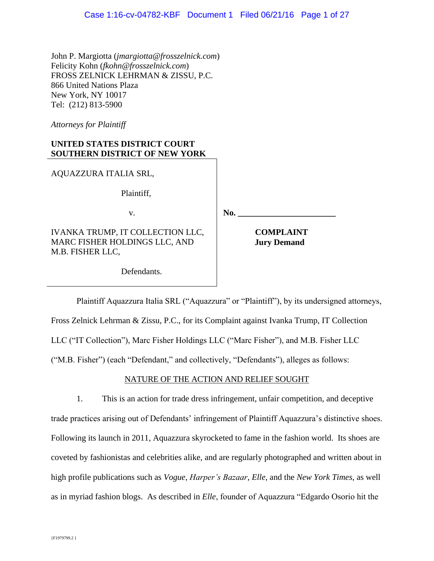John P. Margiotta (*jmargiotta@frosszelnick.com*) Felicity Kohn (*fkohn@frosszelnick.com*) FROSS ZELNICK LEHRMAN & ZISSU, P.C. 866 United Nations Plaza New York, NY 10017 Tel: (212) 813-5900

*Attorneys for Plaintiff*

# **UNITED STATES DISTRICT COURT SOUTHERN DISTRICT OF NEW YORK**

AQUAZZURA ITALIA SRL,

Plaintiff,

v.

IVANKA TRUMP, IT COLLECTION LLC, MARC FISHER HOLDINGS LLC, AND M.B. FISHER LLC,

 **COMPLAINT Jury Demand**

Defendants.

Plaintiff Aquazzura Italia SRL ("Aquazzura" or "Plaintiff"), by its undersigned attorneys, Fross Zelnick Lehrman & Zissu, P.C., for its Complaint against Ivanka Trump, IT Collection LLC ("IT Collection"), Marc Fisher Holdings LLC ("Marc Fisher"), and M.B. Fisher LLC ("M.B. Fisher") (each "Defendant," and collectively, "Defendants"), alleges as follows:

**No. \_\_\_\_\_\_\_\_\_\_\_\_\_\_\_\_\_\_\_\_\_\_\_**

# NATURE OF THE ACTION AND RELIEF SOUGHT

1. This is an action for trade dress infringement, unfair competition, and deceptive trade practices arising out of Defendants' infringement of Plaintiff Aquazzura's distinctive shoes. Following its launch in 2011, Aquazzura skyrocketed to fame in the fashion world. Its shoes are coveted by fashionistas and celebrities alike, and are regularly photographed and written about in high profile publications such as *Vogue*, *Harper's Bazaar*, *Elle*, and the *New York Times*, as well as in myriad fashion blogs. As described in *Elle*, founder of Aquazzura "Edgardo Osorio hit the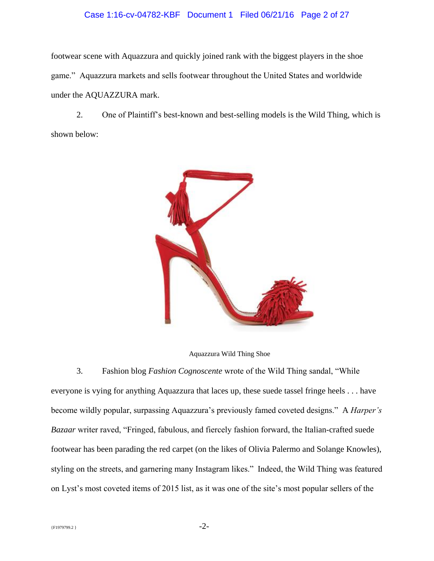#### Case 1:16-cv-04782-KBF Document 1 Filed 06/21/16 Page 2 of 27

footwear scene with Aquazzura and quickly joined rank with the biggest players in the shoe game." Aquazzura markets and sells footwear throughout the United States and worldwide under the AQUAZZURA mark.

2. One of Plaintiff's best-known and best-selling models is the Wild Thing, which is shown below:



Aquazzura Wild Thing Shoe

3. Fashion blog *Fashion Cognoscente* wrote of the Wild Thing sandal, "While everyone is vying for anything Aquazzura that laces up, these suede tassel fringe heels . . . have become wildly popular, surpassing Aquazzura's previously famed coveted designs." A *Harper's Bazaar* writer raved, "Fringed, fabulous, and fiercely fashion forward, the Italian-crafted suede footwear has been parading the red carpet (on the likes of Olivia Palermo and Solange Knowles), styling on the streets, and garnering many Instagram likes." Indeed, the Wild Thing was featured on Lyst's most coveted items of 2015 list, as it was one of the site's most popular sellers of the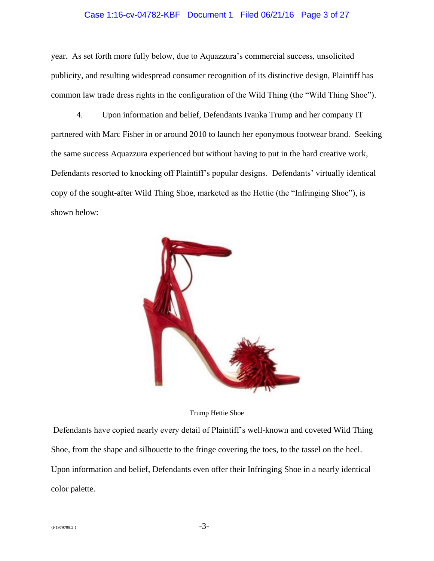#### Case 1:16-cv-04782-KBF Document 1 Filed 06/21/16 Page 3 of 27

year. As set forth more fully below, due to Aquazzura's commercial success, unsolicited publicity, and resulting widespread consumer recognition of its distinctive design, Plaintiff has common law trade dress rights in the configuration of the Wild Thing (the "Wild Thing Shoe").

4. Upon information and belief, Defendants Ivanka Trump and her company IT partnered with Marc Fisher in or around 2010 to launch her eponymous footwear brand. Seeking the same success Aquazzura experienced but without having to put in the hard creative work, Defendants resorted to knocking off Plaintiff's popular designs. Defendants' virtually identical copy of the sought-after Wild Thing Shoe, marketed as the Hettie (the "Infringing Shoe"), is shown below:



Trump Hettie Shoe

Defendants have copied nearly every detail of Plaintiff's well-known and coveted Wild Thing Shoe, from the shape and silhouette to the fringe covering the toes, to the tassel on the heel. Upon information and belief, Defendants even offer their Infringing Shoe in a nearly identical color palette.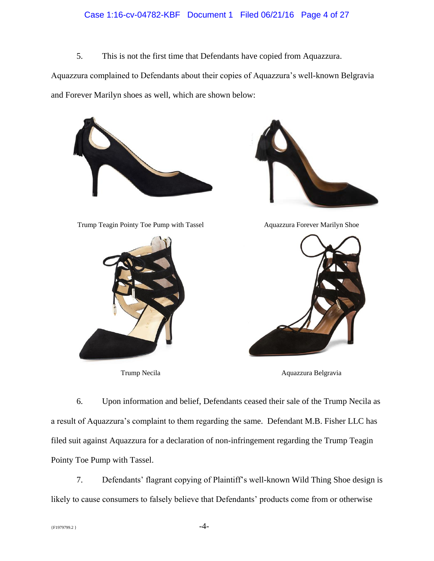#### Case 1:16-cv-04782-KBF Document 1 Filed 06/21/16 Page 4 of 27

5. This is not the first time that Defendants have copied from Aquazzura.

Aquazzura complained to Defendants about their copies of Aquazzura's well-known Belgravia and Forever Marilyn shoes as well, which are shown below:





Trump Teagin Pointy Toe Pump with Tassel Aquazzura Forever Marilyn Shoe





Trump Necila Aquazzura Belgravia

6. Upon information and belief, Defendants ceased their sale of the Trump Necila as a result of Aquazzura's complaint to them regarding the same. Defendant M.B. Fisher LLC has filed suit against Aquazzura for a declaration of non-infringement regarding the Trump Teagin Pointy Toe Pump with Tassel.

7. Defendants' flagrant copying of Plaintiff's well-known Wild Thing Shoe design is likely to cause consumers to falsely believe that Defendants' products come from or otherwise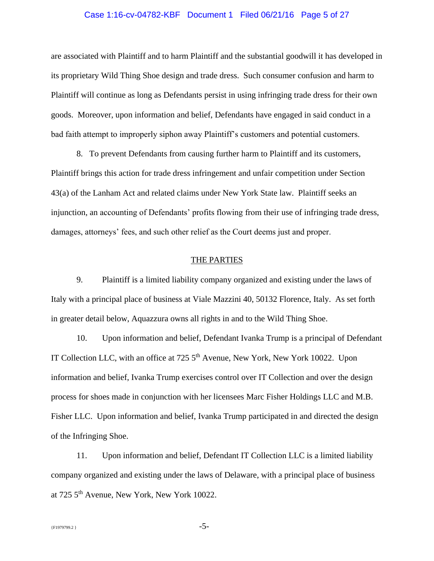# Case 1:16-cv-04782-KBF Document 1 Filed 06/21/16 Page 5 of 27

are associated with Plaintiff and to harm Plaintiff and the substantial goodwill it has developed in its proprietary Wild Thing Shoe design and trade dress. Such consumer confusion and harm to Plaintiff will continue as long as Defendants persist in using infringing trade dress for their own goods. Moreover, upon information and belief, Defendants have engaged in said conduct in a bad faith attempt to improperly siphon away Plaintiff's customers and potential customers.

8. To prevent Defendants from causing further harm to Plaintiff and its customers, Plaintiff brings this action for trade dress infringement and unfair competition under Section 43(a) of the Lanham Act and related claims under New York State law. Plaintiff seeks an injunction, an accounting of Defendants' profits flowing from their use of infringing trade dress, damages, attorneys' fees, and such other relief as the Court deems just and proper.

#### THE PARTIES

9. Plaintiff is a limited liability company organized and existing under the laws of Italy with a principal place of business at Viale Mazzini 40, 50132 Florence, Italy. As set forth in greater detail below, Aquazzura owns all rights in and to the Wild Thing Shoe.

10. Upon information and belief, Defendant Ivanka Trump is a principal of Defendant IT Collection LLC, with an office at  $725\,5^{th}$  Avenue, New York, New York 10022. Upon information and belief, Ivanka Trump exercises control over IT Collection and over the design process for shoes made in conjunction with her licensees Marc Fisher Holdings LLC and M.B. Fisher LLC. Upon information and belief, Ivanka Trump participated in and directed the design of the Infringing Shoe.

11. Upon information and belief, Defendant IT Collection LLC is a limited liability company organized and existing under the laws of Delaware, with a principal place of business at 725 5th Avenue, New York, New York 10022.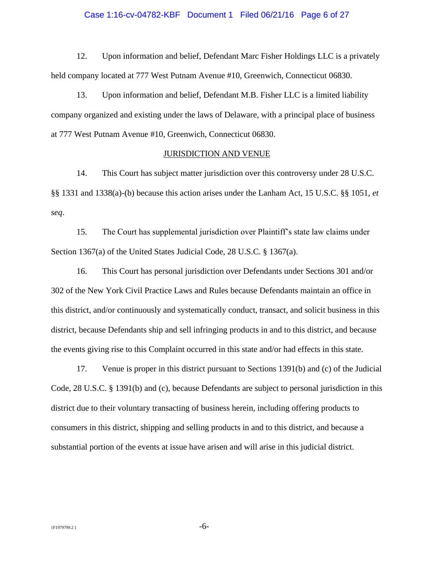# Case 1:16-cv-04782-KBF Document 1 Filed 06/21/16 Page 6 of 27

12. Upon information and belief, Defendant Marc Fisher Holdings LLC is a privately held company located at 777 West Putnam Avenue #10, Greenwich, Connecticut 06830.

13. Upon information and belief, Defendant M.B. Fisher LLC is a limited liability company organized and existing under the laws of Delaware, with a principal place of business at 777 West Putnam Avenue #10, Greenwich, Connecticut 06830.

#### JURISDICTION AND VENUE

14. This Court has subject matter jurisdiction over this controversy under 28 U.S.C. §§ 1331 and 1338(a)-(b) because this action arises under the Lanham Act, 15 U.S.C. §§ 1051, *et seq*.

15. The Court has supplemental jurisdiction over Plaintiff's state law claims under Section 1367(a) of the United States Judicial Code, 28 U.S.C. § 1367(a).

16. This Court has personal jurisdiction over Defendants under Sections 301 and/or 302 of the New York Civil Practice Laws and Rules because Defendants maintain an office in this district, and/or continuously and systematically conduct, transact, and solicit business in this district, because Defendants ship and sell infringing products in and to this district, and because the events giving rise to this Complaint occurred in this state and/or had effects in this state.

17. Venue is proper in this district pursuant to Sections 1391(b) and (c) of the Judicial Code, 28 U.S.C. § 1391(b) and (c), because Defendants are subject to personal jurisdiction in this district due to their voluntary transacting of business herein, including offering products to consumers in this district, shipping and selling products in and to this district, and because a substantial portion of the events at issue have arisen and will arise in this judicial district.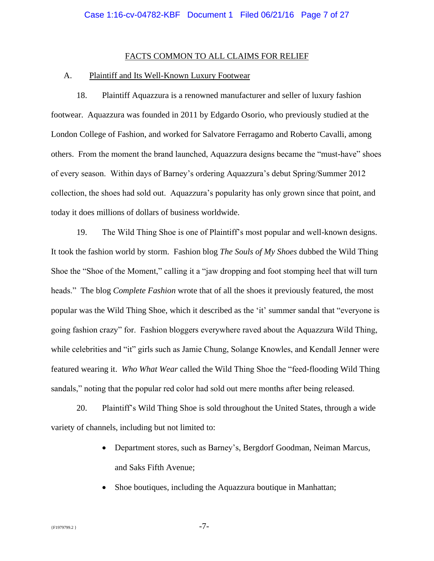#### FACTS COMMON TO ALL CLAIMS FOR RELIEF

#### A. Plaintiff and Its Well-Known Luxury Footwear

18. Plaintiff Aquazzura is a renowned manufacturer and seller of luxury fashion footwear. Aquazzura was founded in 2011 by Edgardo Osorio, who previously studied at the London College of Fashion, and worked for Salvatore Ferragamo and Roberto Cavalli, among others. From the moment the brand launched, Aquazzura designs became the "must-have" shoes of every season. Within days of Barney's ordering Aquazzura's debut Spring/Summer 2012 collection, the shoes had sold out. Aquazzura's popularity has only grown since that point, and today it does millions of dollars of business worldwide.

19. The Wild Thing Shoe is one of Plaintiff's most popular and well-known designs. It took the fashion world by storm. Fashion blog *The Souls of My Shoes* dubbed the Wild Thing Shoe the "Shoe of the Moment," calling it a "jaw dropping and foot stomping heel that will turn heads." The blog *Complete Fashion* wrote that of all the shoes it previously featured, the most popular was the Wild Thing Shoe, which it described as the 'it' summer sandal that "everyone is going fashion crazy" for. Fashion bloggers everywhere raved about the Aquazzura Wild Thing, while celebrities and "it" girls such as Jamie Chung, Solange Knowles, and Kendall Jenner were featured wearing it. *Who What Wear* called the Wild Thing Shoe the "feed-flooding Wild Thing sandals," noting that the popular red color had sold out mere months after being released.

20. Plaintiff's Wild Thing Shoe is sold throughout the United States, through a wide variety of channels, including but not limited to:

- Department stores, such as Barney's, Bergdorf Goodman, Neiman Marcus, and Saks Fifth Avenue;
- Shoe boutiques, including the Aquazzura boutique in Manhattan;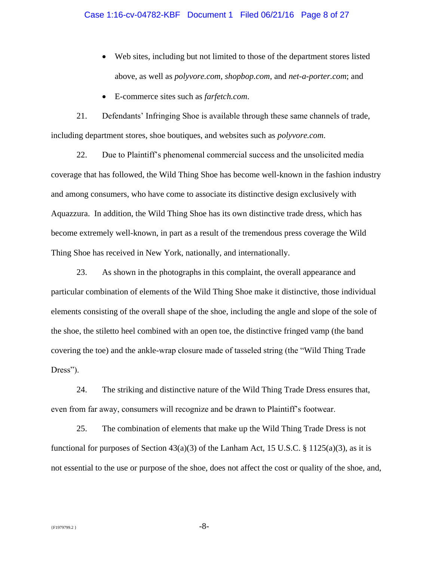- Web sites, including but not limited to those of the department stores listed above, as well as *polyvore.com*, *shopbop.com*, and *net-a-porter.com*; and
- E-commerce sites such as *farfetch.com*.

21. Defendants' Infringing Shoe is available through these same channels of trade, including department stores, shoe boutiques, and websites such as *polyvore.com*.

22. Due to Plaintiff's phenomenal commercial success and the unsolicited media coverage that has followed, the Wild Thing Shoe has become well-known in the fashion industry and among consumers, who have come to associate its distinctive design exclusively with Aquazzura. In addition, the Wild Thing Shoe has its own distinctive trade dress, which has become extremely well-known, in part as a result of the tremendous press coverage the Wild Thing Shoe has received in New York, nationally, and internationally.

23. As shown in the photographs in this complaint, the overall appearance and particular combination of elements of the Wild Thing Shoe make it distinctive, those individual elements consisting of the overall shape of the shoe, including the angle and slope of the sole of the shoe, the stiletto heel combined with an open toe, the distinctive fringed vamp (the band covering the toe) and the ankle-wrap closure made of tasseled string (the "Wild Thing Trade Dress").

24. The striking and distinctive nature of the Wild Thing Trade Dress ensures that, even from far away, consumers will recognize and be drawn to Plaintiff's footwear.

25. The combination of elements that make up the Wild Thing Trade Dress is not functional for purposes of Section  $43(a)(3)$  of the Lanham Act, 15 U.S.C. § 1125(a)(3), as it is not essential to the use or purpose of the shoe, does not affect the cost or quality of the shoe, and,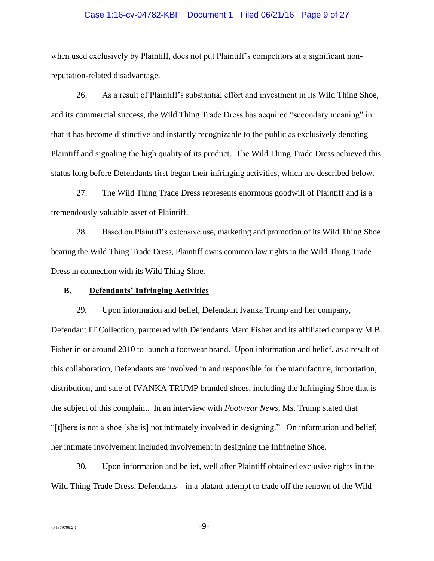# Case 1:16-cv-04782-KBF Document 1 Filed 06/21/16 Page 9 of 27

when used exclusively by Plaintiff, does not put Plaintiff's competitors at a significant nonreputation-related disadvantage.

26. As a result of Plaintiff's substantial effort and investment in its Wild Thing Shoe, and its commercial success, the Wild Thing Trade Dress has acquired "secondary meaning" in that it has become distinctive and instantly recognizable to the public as exclusively denoting Plaintiff and signaling the high quality of its product. The Wild Thing Trade Dress achieved this status long before Defendants first began their infringing activities, which are described below.

27. The Wild Thing Trade Dress represents enormous goodwill of Plaintiff and is a tremendously valuable asset of Plaintiff.

28. Based on Plaintiff's extensive use, marketing and promotion of its Wild Thing Shoe bearing the Wild Thing Trade Dress, Plaintiff owns common law rights in the Wild Thing Trade Dress in connection with its Wild Thing Shoe.

#### **B. Defendants' Infringing Activities**

29. Upon information and belief, Defendant Ivanka Trump and her company, Defendant IT Collection, partnered with Defendants Marc Fisher and its affiliated company M.B. Fisher in or around 2010 to launch a footwear brand. Upon information and belief, as a result of this collaboration, Defendants are involved in and responsible for the manufacture, importation, distribution, and sale of IVANKA TRUMP branded shoes, including the Infringing Shoe that is the subject of this complaint. In an interview with *Footwear News*, Ms. Trump stated that "[t]here is not a shoe [she is] not intimately involved in designing." On information and belief, her intimate involvement included involvement in designing the Infringing Shoe.

30. Upon information and belief, well after Plaintiff obtained exclusive rights in the Wild Thing Trade Dress, Defendants – in a blatant attempt to trade off the renown of the Wild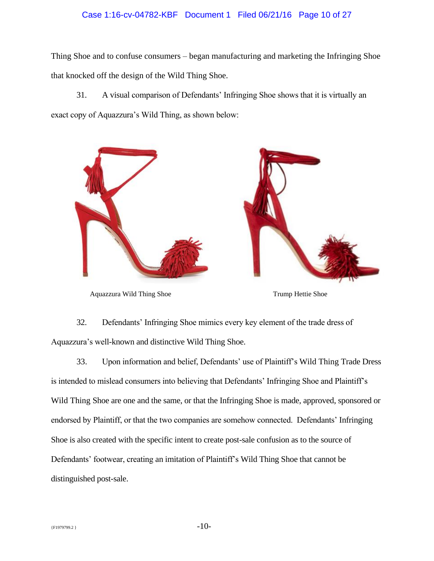#### Case 1:16-cv-04782-KBF Document 1 Filed 06/21/16 Page 10 of 27

Thing Shoe and to confuse consumers – began manufacturing and marketing the Infringing Shoe that knocked off the design of the Wild Thing Shoe.

31. A visual comparison of Defendants' Infringing Shoe shows that it is virtually an exact copy of Aquazzura's Wild Thing, as shown below:



Aquazzura Wild Thing Shoe Trump Hettie Shoe

32. Defendants' Infringing Shoe mimics every key element of the trade dress of Aquazzura's well-known and distinctive Wild Thing Shoe.

33. Upon information and belief, Defendants' use of Plaintiff's Wild Thing Trade Dress is intended to mislead consumers into believing that Defendants' Infringing Shoe and Plaintiff's Wild Thing Shoe are one and the same, or that the Infringing Shoe is made, approved, sponsored or endorsed by Plaintiff, or that the two companies are somehow connected. Defendants' Infringing Shoe is also created with the specific intent to create post-sale confusion as to the source of Defendants' footwear, creating an imitation of Plaintiff's Wild Thing Shoe that cannot be distinguished post-sale.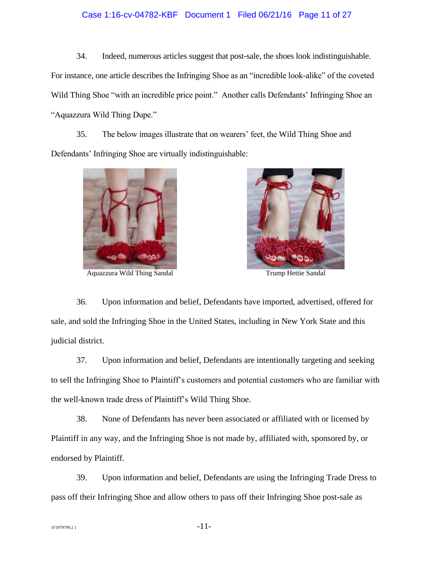#### Case 1:16-cv-04782-KBF Document 1 Filed 06/21/16 Page 11 of 27

34. Indeed, numerous articles suggest that post-sale, the shoes look indistinguishable. For instance, one article describes the Infringing Shoe as an "incredible look-alike" of the coveted Wild Thing Shoe "with an incredible price point." Another calls Defendants' Infringing Shoe an "Aquazzura Wild Thing Dupe."

35. The below images illustrate that on wearers' feet, the Wild Thing Shoe and Defendants' Infringing Shoe are virtually indistinguishable:



Aquazzura Wild Thing Sandal Trump Hettie Sandal



36. Upon information and belief, Defendants have imported, advertised, offered for sale, and sold the Infringing Shoe in the United States, including in New York State and this judicial district.

37. Upon information and belief, Defendants are intentionally targeting and seeking to sell the Infringing Shoe to Plaintiff's customers and potential customers who are familiar with the well-known trade dress of Plaintiff's Wild Thing Shoe.

38. None of Defendants has never been associated or affiliated with or licensed by Plaintiff in any way, and the Infringing Shoe is not made by, affiliated with, sponsored by, or endorsed by Plaintiff.

39. Upon information and belief, Defendants are using the Infringing Trade Dress to pass off their Infringing Shoe and allow others to pass off their Infringing Shoe post-sale as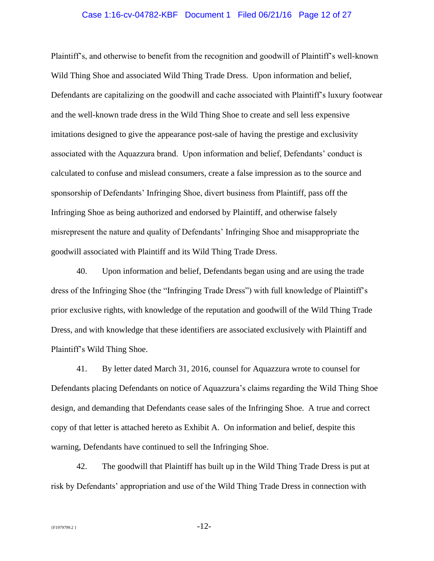# Case 1:16-cv-04782-KBF Document 1 Filed 06/21/16 Page 12 of 27

Plaintiff's, and otherwise to benefit from the recognition and goodwill of Plaintiff's well-known Wild Thing Shoe and associated Wild Thing Trade Dress. Upon information and belief, Defendants are capitalizing on the goodwill and cache associated with Plaintiff's luxury footwear and the well-known trade dress in the Wild Thing Shoe to create and sell less expensive imitations designed to give the appearance post-sale of having the prestige and exclusivity associated with the Aquazzura brand. Upon information and belief, Defendants' conduct is calculated to confuse and mislead consumers, create a false impression as to the source and sponsorship of Defendants' Infringing Shoe, divert business from Plaintiff, pass off the Infringing Shoe as being authorized and endorsed by Plaintiff, and otherwise falsely misrepresent the nature and quality of Defendants' Infringing Shoe and misappropriate the goodwill associated with Plaintiff and its Wild Thing Trade Dress.

40. Upon information and belief, Defendants began using and are using the trade dress of the Infringing Shoe (the "Infringing Trade Dress") with full knowledge of Plaintiff's prior exclusive rights, with knowledge of the reputation and goodwill of the Wild Thing Trade Dress, and with knowledge that these identifiers are associated exclusively with Plaintiff and Plaintiff's Wild Thing Shoe.

41. By letter dated March 31, 2016, counsel for Aquazzura wrote to counsel for Defendants placing Defendants on notice of Aquazzura's claims regarding the Wild Thing Shoe design, and demanding that Defendants cease sales of the Infringing Shoe. A true and correct copy of that letter is attached hereto as Exhibit A. On information and belief, despite this warning, Defendants have continued to sell the Infringing Shoe.

42. The goodwill that Plaintiff has built up in the Wild Thing Trade Dress is put at risk by Defendants' appropriation and use of the Wild Thing Trade Dress in connection with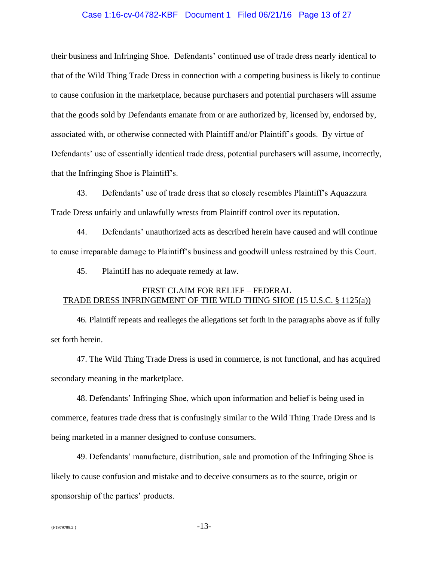# Case 1:16-cv-04782-KBF Document 1 Filed 06/21/16 Page 13 of 27

their business and Infringing Shoe. Defendants' continued use of trade dress nearly identical to that of the Wild Thing Trade Dress in connection with a competing business is likely to continue to cause confusion in the marketplace, because purchasers and potential purchasers will assume that the goods sold by Defendants emanate from or are authorized by, licensed by, endorsed by, associated with, or otherwise connected with Plaintiff and/or Plaintiff's goods. By virtue of Defendants' use of essentially identical trade dress, potential purchasers will assume, incorrectly, that the Infringing Shoe is Plaintiff's.

43. Defendants' use of trade dress that so closely resembles Plaintiff's Aquazzura Trade Dress unfairly and unlawfully wrests from Plaintiff control over its reputation.

44. Defendants' unauthorized acts as described herein have caused and will continue to cause irreparable damage to Plaintiff's business and goodwill unless restrained by this Court.

45. Plaintiff has no adequate remedy at law.

# FIRST CLAIM FOR RELIEF – FEDERAL TRADE DRESS INFRINGEMENT OF THE WILD THING SHOE (15 U.S.C. § 1125(a))

46. Plaintiff repeats and realleges the allegations set forth in the paragraphs above as if fully set forth herein.

47. The Wild Thing Trade Dress is used in commerce, is not functional, and has acquired secondary meaning in the marketplace.

48. Defendants' Infringing Shoe, which upon information and belief is being used in commerce, features trade dress that is confusingly similar to the Wild Thing Trade Dress and is being marketed in a manner designed to confuse consumers.

49. Defendants' manufacture, distribution, sale and promotion of the Infringing Shoe is likely to cause confusion and mistake and to deceive consumers as to the source, origin or sponsorship of the parties' products.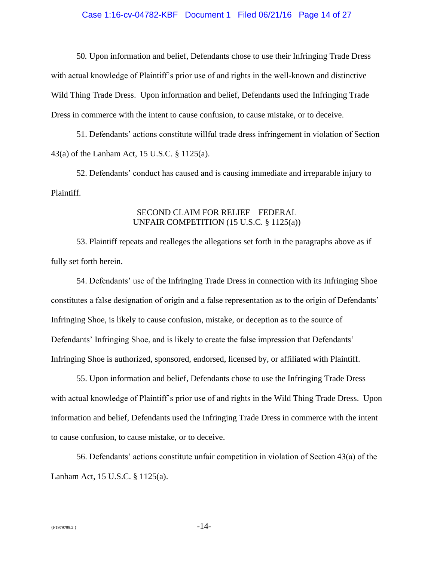# Case 1:16-cv-04782-KBF Document 1 Filed 06/21/16 Page 14 of 27

50. Upon information and belief, Defendants chose to use their Infringing Trade Dress with actual knowledge of Plaintiff's prior use of and rights in the well-known and distinctive Wild Thing Trade Dress. Upon information and belief, Defendants used the Infringing Trade Dress in commerce with the intent to cause confusion, to cause mistake, or to deceive.

51. Defendants' actions constitute willful trade dress infringement in violation of Section 43(a) of the Lanham Act, 15 U.S.C. § 1125(a).

52. Defendants' conduct has caused and is causing immediate and irreparable injury to Plaintiff.

# SECOND CLAIM FOR RELIEF – FEDERAL UNFAIR COMPETITION (15 U.S.C. § 1125(a))

53. Plaintiff repeats and realleges the allegations set forth in the paragraphs above as if fully set forth herein.

54. Defendants' use of the Infringing Trade Dress in connection with its Infringing Shoe constitutes a false designation of origin and a false representation as to the origin of Defendants' Infringing Shoe, is likely to cause confusion, mistake, or deception as to the source of Defendants' Infringing Shoe, and is likely to create the false impression that Defendants' Infringing Shoe is authorized, sponsored, endorsed, licensed by, or affiliated with Plaintiff.

55. Upon information and belief, Defendants chose to use the Infringing Trade Dress with actual knowledge of Plaintiff's prior use of and rights in the Wild Thing Trade Dress. Upon information and belief, Defendants used the Infringing Trade Dress in commerce with the intent to cause confusion, to cause mistake, or to deceive.

56. Defendants' actions constitute unfair competition in violation of Section 43(a) of the Lanham Act, 15 U.S.C. § 1125(a).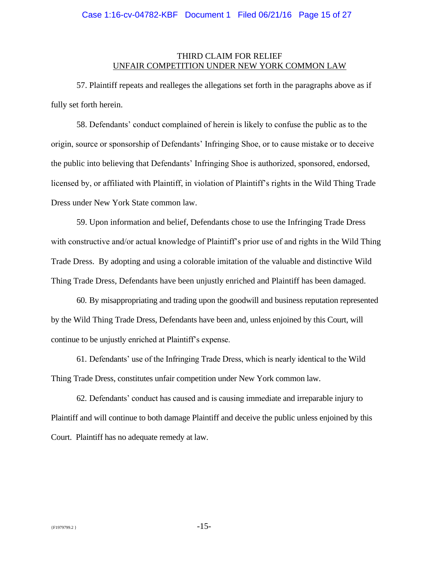#### THIRD CLAIM FOR RELIEF UNFAIR COMPETITION UNDER NEW YORK COMMON LAW

57. Plaintiff repeats and realleges the allegations set forth in the paragraphs above as if fully set forth herein.

58. Defendants' conduct complained of herein is likely to confuse the public as to the origin, source or sponsorship of Defendants' Infringing Shoe, or to cause mistake or to deceive the public into believing that Defendants' Infringing Shoe is authorized, sponsored, endorsed, licensed by, or affiliated with Plaintiff, in violation of Plaintiff's rights in the Wild Thing Trade Dress under New York State common law.

59. Upon information and belief, Defendants chose to use the Infringing Trade Dress with constructive and/or actual knowledge of Plaintiff's prior use of and rights in the Wild Thing Trade Dress. By adopting and using a colorable imitation of the valuable and distinctive Wild Thing Trade Dress, Defendants have been unjustly enriched and Plaintiff has been damaged.

60. By misappropriating and trading upon the goodwill and business reputation represented by the Wild Thing Trade Dress, Defendants have been and, unless enjoined by this Court, will continue to be unjustly enriched at Plaintiff's expense.

61. Defendants' use of the Infringing Trade Dress, which is nearly identical to the Wild Thing Trade Dress, constitutes unfair competition under New York common law.

62. Defendants' conduct has caused and is causing immediate and irreparable injury to Plaintiff and will continue to both damage Plaintiff and deceive the public unless enjoined by this Court. Plaintiff has no adequate remedy at law.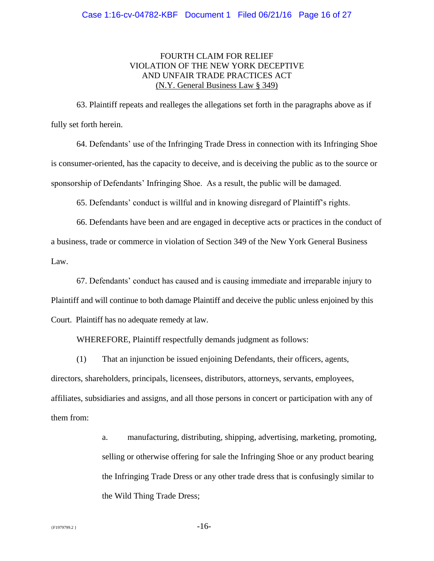# FOURTH CLAIM FOR RELIEF VIOLATION OF THE NEW YORK DECEPTIVE AND UNFAIR TRADE PRACTICES ACT (N.Y. General Business Law § 349)

63. Plaintiff repeats and realleges the allegations set forth in the paragraphs above as if fully set forth herein.

64. Defendants' use of the Infringing Trade Dress in connection with its Infringing Shoe is consumer-oriented, has the capacity to deceive, and is deceiving the public as to the source or sponsorship of Defendants' Infringing Shoe. As a result, the public will be damaged.

65. Defendants' conduct is willful and in knowing disregard of Plaintiff's rights.

66. Defendants have been and are engaged in deceptive acts or practices in the conduct of a business, trade or commerce in violation of Section 349 of the New York General Business Law.

67. Defendants' conduct has caused and is causing immediate and irreparable injury to Plaintiff and will continue to both damage Plaintiff and deceive the public unless enjoined by this Court. Plaintiff has no adequate remedy at law.

WHEREFORE, Plaintiff respectfully demands judgment as follows:

(1) That an injunction be issued enjoining Defendants, their officers, agents, directors, shareholders, principals, licensees, distributors, attorneys, servants, employees, affiliates, subsidiaries and assigns, and all those persons in concert or participation with any of them from:

> a. manufacturing, distributing, shipping, advertising, marketing, promoting, selling or otherwise offering for sale the Infringing Shoe or any product bearing the Infringing Trade Dress or any other trade dress that is confusingly similar to the Wild Thing Trade Dress;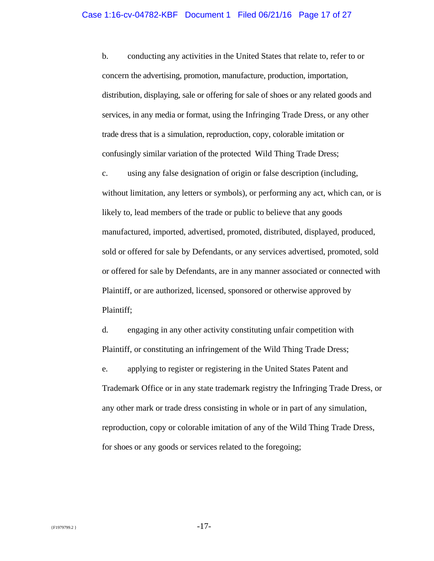#### Case 1:16-cv-04782-KBF Document 1 Filed 06/21/16 Page 17 of 27

b. conducting any activities in the United States that relate to, refer to or concern the advertising, promotion, manufacture, production, importation, distribution, displaying, sale or offering for sale of shoes or any related goods and services, in any media or format, using the Infringing Trade Dress, or any other trade dress that is a simulation, reproduction, copy, colorable imitation or confusingly similar variation of the protected Wild Thing Trade Dress;

c. using any false designation of origin or false description (including, without limitation, any letters or symbols), or performing any act, which can, or is likely to, lead members of the trade or public to believe that any goods manufactured, imported, advertised, promoted, distributed, displayed, produced, sold or offered for sale by Defendants, or any services advertised, promoted, sold or offered for sale by Defendants, are in any manner associated or connected with Plaintiff, or are authorized, licensed, sponsored or otherwise approved by Plaintiff;

d. engaging in any other activity constituting unfair competition with Plaintiff, or constituting an infringement of the Wild Thing Trade Dress; e. applying to register or registering in the United States Patent and Trademark Office or in any state trademark registry the Infringing Trade Dress, or any other mark or trade dress consisting in whole or in part of any simulation, reproduction, copy or colorable imitation of any of the Wild Thing Trade Dress, for shoes or any goods or services related to the foregoing;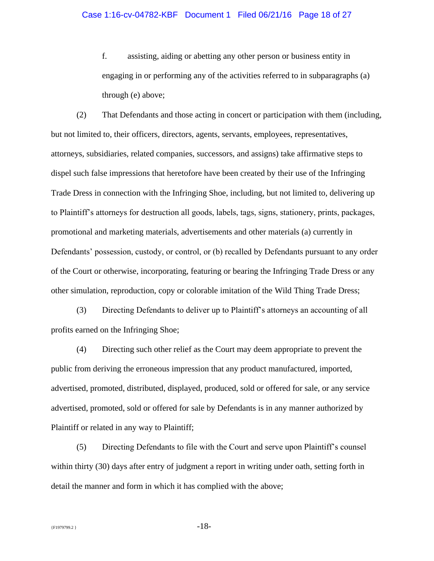# Case 1:16-cv-04782-KBF Document 1 Filed 06/21/16 Page 18 of 27

f. assisting, aiding or abetting any other person or business entity in engaging in or performing any of the activities referred to in subparagraphs (a) through (e) above;

(2) That Defendants and those acting in concert or participation with them (including, but not limited to, their officers, directors, agents, servants, employees, representatives, attorneys, subsidiaries, related companies, successors, and assigns) take affirmative steps to dispel such false impressions that heretofore have been created by their use of the Infringing Trade Dress in connection with the Infringing Shoe, including, but not limited to, delivering up to Plaintiff's attorneys for destruction all goods, labels, tags, signs, stationery, prints, packages, promotional and marketing materials, advertisements and other materials (a) currently in Defendants' possession, custody, or control, or (b) recalled by Defendants pursuant to any order of the Court or otherwise, incorporating, featuring or bearing the Infringing Trade Dress or any other simulation, reproduction, copy or colorable imitation of the Wild Thing Trade Dress;

(3) Directing Defendants to deliver up to Plaintiff's attorneys an accounting of all profits earned on the Infringing Shoe;

(4) Directing such other relief as the Court may deem appropriate to prevent the public from deriving the erroneous impression that any product manufactured, imported, advertised, promoted, distributed, displayed, produced, sold or offered for sale, or any service advertised, promoted, sold or offered for sale by Defendants is in any manner authorized by Plaintiff or related in any way to Plaintiff;

(5) Directing Defendants to file with the Court and serve upon Plaintiff's counsel within thirty (30) days after entry of judgment a report in writing under oath, setting forth in detail the manner and form in which it has complied with the above;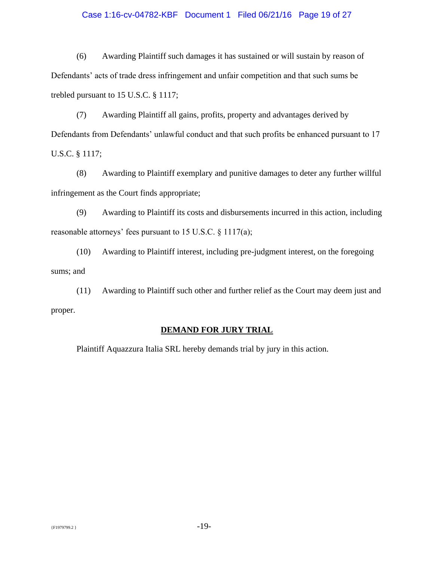#### Case 1:16-cv-04782-KBF Document 1 Filed 06/21/16 Page 19 of 27

(6) Awarding Plaintiff such damages it has sustained or will sustain by reason of Defendants' acts of trade dress infringement and unfair competition and that such sums be trebled pursuant to 15 U.S.C. § 1117;

(7) Awarding Plaintiff all gains, profits, property and advantages derived by Defendants from Defendants' unlawful conduct and that such profits be enhanced pursuant to 17 U.S.C. § 1117;

(8) Awarding to Plaintiff exemplary and punitive damages to deter any further willful infringement as the Court finds appropriate;

(9) Awarding to Plaintiff its costs and disbursements incurred in this action, including reasonable attorneys' fees pursuant to 15 U.S.C. § 1117(a);

(10) Awarding to Plaintiff interest, including pre-judgment interest, on the foregoing sums; and

(11) Awarding to Plaintiff such other and further relief as the Court may deem just and proper.

# **DEMAND FOR JURY TRIAL**

Plaintiff Aquazzura Italia SRL hereby demands trial by jury in this action.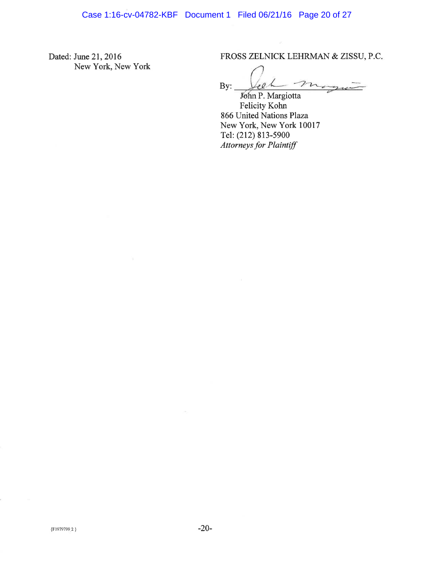Dated: June 21, 2016 New York, New York FROSS ZELNICK LEHRMAN & ZISSU, P.C.

 $By:$  $10 - 6$ 

John P. Margiotta Felicity Kohn 866 United Nations Plaza New York, New York 10017 Tel: (212) 813-5900 **Attorneys** for Plaintiff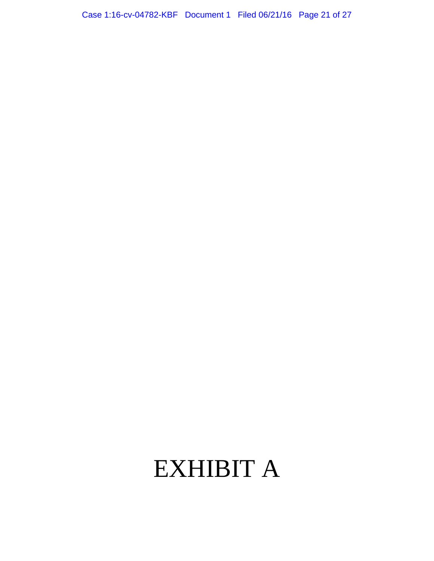Case 1:16-cv-04782-KBF Document 1 Filed 06/21/16 Page 21 of 27

# EXHIBIT A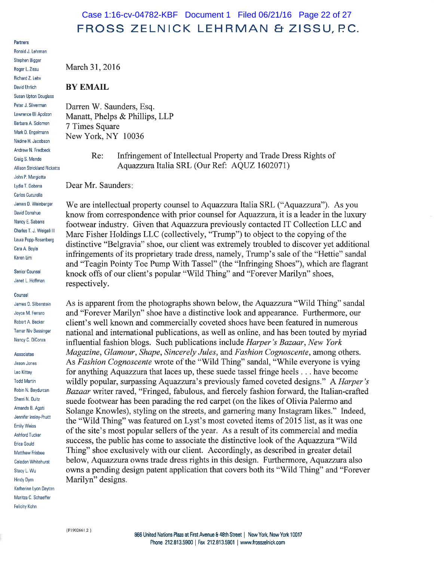# Case 1:16-cv-04782-KBF Document 1 Filed 06/21/16 Page 22 of 27 FROSS ZELNICK LEHRMAN & ZISSU, P.C.

Partners

Ronald J. Lehrman Stephen Bigger Roger L. Zissu Richard Z. Lehv David Ehrlich **Susan Upton Douglass** Peter J. Silverman Lawrence Eli Apolzon Barbara A. Solomon Mark D. Engelmann Nadine H. Jacobson Andrew N. Fredbeck Craig S. Mende **Allison Strickland Ricketts** John P. Margiotta **Lydia T. Gobera** Carlos Cucurella James D. Weinberge David Donahue Nancy E. Sabarra Charles T. J. Weigell III Laura Popp-Rosenberg Cara A. Boyle Karen Lim

**Senior Counsel** Janet L. Hoffman

#### Counsel

James D. Silberstein Joyce M. Ferraro **Bobert A. Becker Tamar Niv Bessinger** Nancy C. DiConza

Associates

Jason Jones Leo Kittay **Todd Martin** Robin N. Baydurcan Sherri N. Duitz Amanda B. Agati Jennifer Insley-Pruitt **Emily Weiss Ashford Tucker** Erica Gould Matthew Frisbee Celadon Whitehurst Stacy L. Wu **Hindy Dym** Katherine Lyon Dayton Maritza C. Schaeffer **Felicity Kohn** 

March 31, 2016

#### **BY EMAIL**

Darren W. Saunders, Esq. Manatt, Phelps & Phillips, LLP 7 Times Square New York, NY 10036

> Infringement of Intellectual Property and Trade Dress Rights of Re: Aquazzura Italia SRL (Our Ref: AQUZ 1602071)

Dear Mr. Saunders:

We are intellectual property counsel to Aquazzura Italia SRL ("Aquazzura"). As you know from correspondence with prior counsel for Aquazzura, it is a leader in the luxury footwear industry. Given that Aquazzura previously contacted IT Collection LLC and Marc Fisher Holdings LLC (collectively, "Trump") to object to the copying of the distinctive "Belgravia" shoe, our client was extremely troubled to discover yet additional infringements of its proprietary trade dress, namely, Trump's sale of the "Hettie" sandal and "Teagin Pointy Toe Pump With Tassel" (the "Infringing Shoes"), which are flagrant knock offs of our client's popular "Wild Thing" and "Forever Marilyn" shoes, respectively.

As is apparent from the photographs shown below, the Aquazzura "Wild Thing" sandal and "Forever Marilyn" shoe have a distinctive look and appearance. Furthermore, our client's well known and commercially coveted shoes have been featured in numerous national and international publications, as well as online, and has been touted by myriad influential fashion blogs. Such publications include Harper's Bazaar, New York Magazine, Glamour, Shape, Sincerely Jules, and Fashion Cognoscente, among others. As Fashion Cognoscente wrote of the "Wild Thing" sandal, "While everyone is vying for anything Aquazzura that laces up, these suede tassel fringe heels . . . have become wildly popular, surpassing Aquazzura's previously famed coveted designs." A Harper's Bazaar writer raved, "Fringed, fabulous, and fiercely fashion forward, the Italian-crafted suede footwear has been parading the red carpet (on the likes of Olivia Palermo and Solange Knowles), styling on the streets, and garnering many Instagram likes." Indeed, the "Wild Thing" was featured on Lyst's most coveted items of 2015 list, as it was one of the site's most popular sellers of the year. As a result of its commercial and media success, the public has come to associate the distinctive look of the Aquazzura "Wild Thing" shoe exclusively with our client. Accordingly, as described in greater detail below, Aquazzura owns trade dress rights in this design. Furthermore, Aquazzura also owns a pending design patent application that covers both its "Wild Thing" and "Forever Marilyn" designs.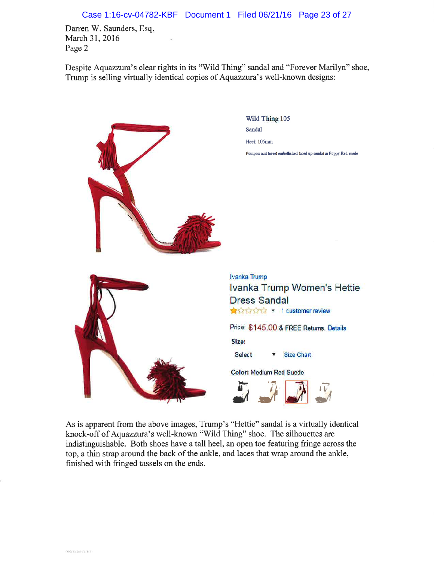Case 1:16-cv-04782-KBF Document 1 Filed 06/21/16 Page 23 of 27

Darren W. Saunders, Esq. March 31, 2016 Page 2

 $144444222222$ 

Despite Aquazzura's clear rights in its "Wild Thing" sandal and "Forever Marilyn" shoe, Trump is selling virtually identical copies of Aquazzura's well-known designs:



As is apparent from the above images, Trump's "Hettie" sandal is a virtually identical knock-off of Aquazzura's well-known "Wild Thing" shoe. The silhouettes are indistinguishable. Both shoes have a tall heel, an open toe featuring fringe across the top, a thin strap around the back of the ankle, and laces that wrap around the ankle, finished with fringed tassels on the ends.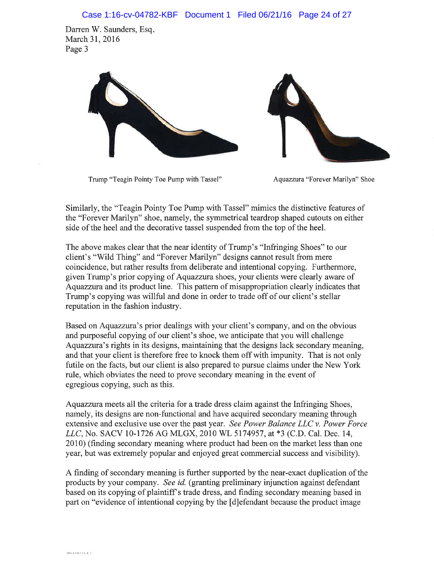Darren W. Saunders, Esq. March 31, 2016 Page 3



Trump "Teagin Pointy Toe Pump with Tassel"

Aquazzura "Forever Marilyn" Shoe

Similarly, the "Teagin Pointy Toe Pump with Tassel" mimics the distinctive features of the "Forever Marilyn" shoe, namely, the symmetrical teardrop shaped cutouts on either side of the heel and the decorative tassel suspended from the top of the heel.

The above makes clear that the near identity of Trump's "Infringing Shoes" to our client's "Wild Thing" and "Forever Marilyn" designs cannot result from mere coincidence, but rather results from deliberate and intentional copying. Furthermore, given Trump's prior copying of Aquazzura shoes, your clients were clearly aware of Aquazzura and its product line. This pattern of misappropriation clearly indicates that Trump's copying was willful and done in order to trade off of our client's stellar reputation in the fashion industry.

Based on Aquazzura's prior dealings with your client's company, and on the obvious and purposeful copying of our client's shoe, we anticipate that you will challenge Aquazzura's rights in its designs, maintaining that the designs lack secondary meaning, and that your client is therefore free to knock them off with impunity. That is not only futile on the facts, but our client is also prepared to pursue claims under the New York rule, which obviates the need to prove secondary meaning in the event of egregious copying, such as this.

Aquazzura meets all the criteria for a trade dress claim against the Infringing Shoes, namely, its designs are non-functional and have acquired secondary meaning through extensive and exclusive use over the past year. See Power Balance LLC v. Power Force LLC, No. SACV 10-1726 AG MLGX, 2010 WL 5174957, at \*3 (C.D. Cal. Dec. 14, 2010) (finding secondary meaning where product had been on the market less than one year, but was extremely popular and enjoyed great commercial success and visibility).

A finding of secondary meaning is further supported by the near-exact duplication of the products by your company. See id. (granting preliminary injunction against defendant based on its copying of plaintiff's trade dress, and finding secondary meaning based in part on "evidence of intentional copying by the [d] efendant because the product image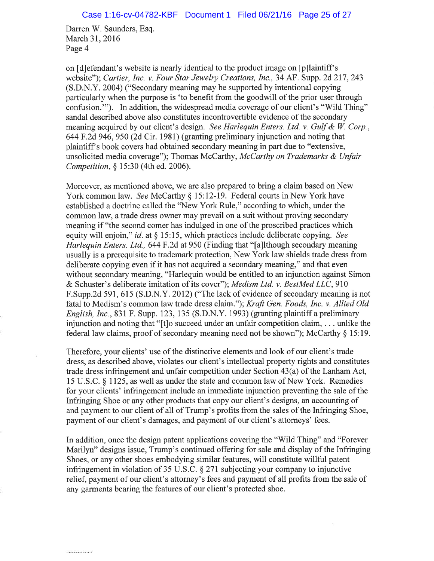Darren W. Saunders, Esq. March 31, 2016 Page 4

on [d] effendant's website is nearly identical to the product image on [p] laintiff's website"); Cartier, Inc. v. Four Star Jewelry Creations, Inc., 34 AF. Supp. 2d 217, 243 (S.D.N.Y. 2004) ("Secondary meaning may be supported by intentional copying particularly when the purpose is 'to benefit from the goodwill of the prior user through confusion.""). In addition, the widespread media coverage of our client's "Wild Thing" sandal described above also constitutes incontrovertible evidence of the secondary meaning acquired by our client's design. See Harlequin Enters. Ltd. v. Gulf & W. Corp., 644 F.2d 946, 950 (2d Cir. 1981) (granting preliminary injunction and noting that plaintiff's book covers had obtained secondary meaning in part due to "extensive, unsolicited media coverage"); Thomas McCarthy, McCarthy on Trademarks & Unfair Competition, § 15:30 (4th ed. 2006).

Moreover, as mentioned above, we are also prepared to bring a claim based on New York common law. See McCarthy § 15:12-19. Federal courts in New York have established a doctrine called the "New York Rule," according to which, under the common law, a trade dress owner may prevail on a suit without proving secondary meaning if "the second comer has indulged in one of the proscribed practices which equity will enjoin," id. at  $\S 15:15$ , which practices include deliberate copying. See *Harlequin Enters. Ltd.*, 644 F.2d at 950 (Finding that "[a]lthough secondary meaning usually is a prerequisite to trademark protection, New York law shields trade dress from deliberate copying even if it has not acquired a secondary meaning," and that even without secondary meaning, "Harlequin would be entitled to an injunction against Simon & Schuster's deliberate imitation of its cover"); Medism Ltd. v. BestMed LLC, 910 F.Supp.2d 591, 615 (S.D.N.Y. 2012) ("The lack of evidence of secondary meaning is not fatal to Medism's common law trade dress claim."); Kraft Gen. Foods, Inc. v. Allied Old *English, Inc.*, 831 F. Supp. 123, 135 (S.D.N.Y. 1993) (granting plaintiff a preliminary injunction and noting that "[t]o succeed under an unfair competition claim, ... unlike the federal law claims, proof of secondary meaning need not be shown"); McCarthy  $\S 15:19$ .

Therefore, your clients' use of the distinctive elements and look of our client's trade dress, as described above, violates our client's intellectual property rights and constitutes trade dress infringement and unfair competition under Section 43(a) of the Lanham Act, 15 U.S.C. § 1125, as well as under the state and common law of New York. Remedies for your clients' infringement include an immediate injunction preventing the sale of the Infringing Shoe or any other products that copy our client's designs, an accounting of and payment to our client of all of Trump's profits from the sales of the Infringing Shoe, payment of our client's damages, and payment of our client's attorneys' fees.

In addition, once the design patent applications covering the "Wild Thing" and "Forever" Marilyn" designs issue, Trump's continued offering for sale and display of the Infringing Shoes, or any other shoes embodying similar features, will constitute willful patent infringement in violation of 35 U.S.C.  $\S 271$  subjecting your company to injunctive relief, payment of our client's attorney's fees and payment of all profits from the sale of any garments bearing the features of our client's protected shoe.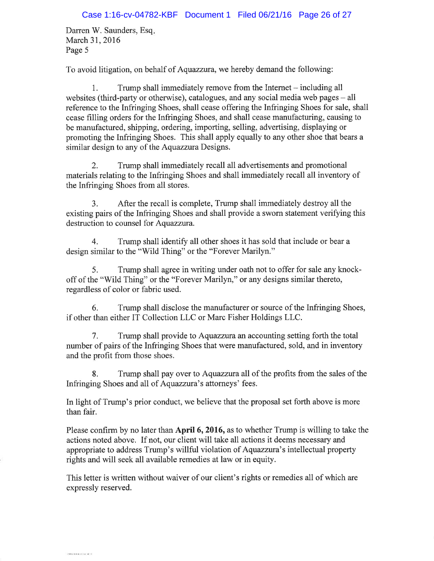Darren W. Saunders, Esq. March 31, 2016 Page 5

To avoid litigation, on behalf of Aquazzura, we hereby demand the following:

Trump shall immediately remove from the Internet – including all 1. websites (third-party or otherwise), catalogues, and any social media web pages – all reference to the Infringing Shoes, shall cease offering the Infringing Shoes for sale, shall cease filling orders for the Infringing Shoes, and shall cease manufacturing, causing to be manufactured, shipping, ordering, importing, selling, advertising, displaying or promoting the Infringing Shoes. This shall apply equally to any other shoe that bears a similar design to any of the Aquazzura Designs.

 $2.$ Trump shall immediately recall all advertisements and promotional materials relating to the Infringing Shoes and shall immediately recall all inventory of the Infringing Shoes from all stores.

After the recall is complete. Trump shall immediately destroy all the  $3<sub>1</sub>$ existing pairs of the Infringing Shoes and shall provide a sworn statement verifying this destruction to counsel for Aquazzura.

 $\overline{4}$ . Trump shall identify all other shoes it has sold that include or bear a design similar to the "Wild Thing" or the "Forever Marilyn."

Trump shall agree in writing under oath not to offer for sale any knock- $5<sub>1</sub>$ off of the "Wild Thing" or the "Forever Marilyn," or any designs similar thereto, regardless of color or fabric used.

6. Trump shall disclose the manufacturer or source of the Infringing Shoes, if other than either IT Collection LLC or Marc Fisher Holdings LLC.

 $7.$ Trump shall provide to Aquazzura an accounting setting forth the total number of pairs of the Infringing Shoes that were manufactured, sold, and in inventory and the profit from those shoes.

8. Trump shall pay over to Aquazzura all of the profits from the sales of the Infringing Shoes and all of Aquazzura's attorneys' fees.

In light of Trump's prior conduct, we believe that the proposal set forth above is more than fair.

Please confirm by no later than April 6, 2016, as to whether Trump is willing to take the actions noted above. If not, our client will take all actions it deems necessary and appropriate to address Trump's willful violation of Aquazzura's intellectual property rights and will seek all available remedies at law or in equity.

This letter is written without waiver of our client's rights or remedies all of which are expressly reserved.